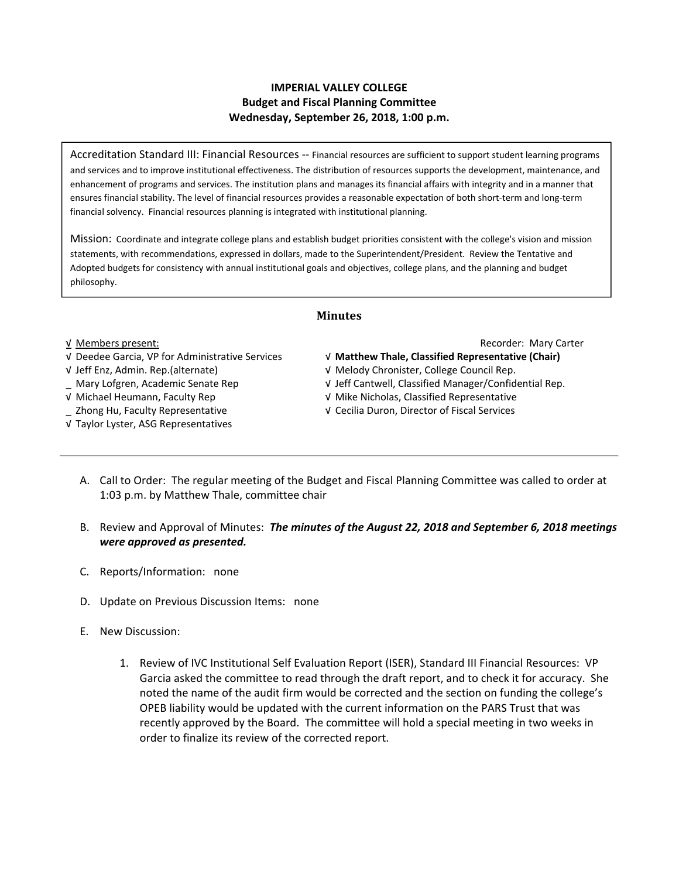# **IMPERIAL VALLEY COLLEGE Budget and Fiscal Planning Committee Wednesday, September 26, 2018, 1:00 p.m.**

Accreditation Standard III: Financial Resources ‐‐ Financial resources are sufficient to support student learning programs and services and to improve institutional effectiveness. The distribution of resources supports the development, maintenance, and enhancement of programs and services. The institution plans and manages its financial affairs with integrity and in a manner that ensures financial stability. The level of financial resources provides a reasonable expectation of both short‐term and long‐term financial solvency. Financial resources planning is integrated with institutional planning.

Mission: Coordinate and integrate college plans and establish budget priorities consistent with the college's vision and mission statements, with recommendations, expressed in dollars, made to the Superintendent/President. Review the Tentative and Adopted budgets for consistency with annual institutional goals and objectives, college plans, and the planning and budget philosophy.

## **Minutes**

## √ Deedee Garcia, VP for Administrative Services √ **Matthew Thale, Classified Representative (Chair)**

- 
- 
- 
- 
- √ Taylor Lyster, ASG Representatives

## √ Members present: Recorder: Mary Carter

- 
- √ Jeff Enz, Admin. Rep.(alternate) √ Melody Chronister, College Council Rep.
- \_ Mary Lofgren, Academic Senate Rep √ Jeff Cantwell, Classified Manager/Confidential Rep.
- √ Michael Heumann, Faculty Rep √ Mike Nicholas, Classified Representative
- \_ Zhong Hu, Faculty Representative √ Cecilia Duron, Director of Fiscal Services
	- A. Call to Order: The regular meeting of the Budget and Fiscal Planning Committee was called to order at 1:03 p.m. by Matthew Thale, committee chair
	- B. Review and Approval of Minutes: *The minutes of the August 22, 2018 and September 6, 2018 meetings were approved as presented.*
	- C. Reports/Information: none
	- D. Update on Previous Discussion Items: none
	- E. New Discussion:
		- 1. Review of IVC Institutional Self Evaluation Report (ISER), Standard III Financial Resources: VP Garcia asked the committee to read through the draft report, and to check it for accuracy. She noted the name of the audit firm would be corrected and the section on funding the college's OPEB liability would be updated with the current information on the PARS Trust that was recently approved by the Board. The committee will hold a special meeting in two weeks in order to finalize its review of the corrected report.